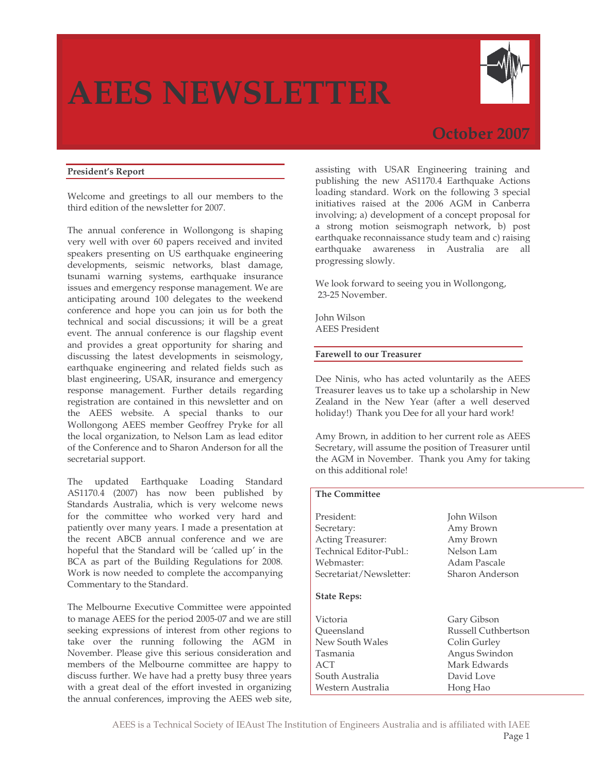# **AEES NEWSLETTER**



## **October 2007**

#### **President's Report**

Welcome and greetings to all our members to the third edition of the newsletter for 2007.

The annual conference in Wollongong is shaping very well with over 60 papers received and invited speakers presenting on US earthquake engineering developments, seismic networks, blast damage, tsunami warning systems, earthquake insurance issues and emergency response management. We are anticipating around 100 delegates to the weekend conference and hope you can join us for both the technical and social discussions; it will be a great event. The annual conference is our flagship event and provides a great opportunity for sharing and discussing the latest developments in seismology, earthquake engineering and related fields such as blast engineering, USAR, insurance and emergency response management. Further details regarding registration are contained in this newsletter and on the AEES website. A special thanks to our Wollongong AEES member Geoffrey Pryke for all the local organization, to Nelson Lam as lead editor of the Conference and to Sharon Anderson for all the secretarial support.

The updated Earthquake Loading Standard AS1170.4 (2007) has now been published by Standards Australia, which is very welcome news for the committee who worked very hard and patiently over many years. I made a presentation at the recent ABCB annual conference and we are hopeful that the Standard will be 'called up' in the BCA as part of the Building Regulations for 2008. Work is now needed to complete the accompanying Commentary to the Standard.

The Melbourne Executive Committee were appointed to manage AEES for the period 2005-07 and we are still seeking expressions of interest from other regions to take over the running following the AGM in November. Please give this serious consideration and members of the Melbourne committee are happy to discuss further. We have had a pretty busy three years with a great deal of the effort invested in organizing the annual conferences, improving the AEES web site, assisting with USAR Engineering training and publishing the new AS1170.4 Earthquake Actions loading standard. Work on the following 3 special initiatives raised at the 2006 AGM in Canberra involving; a) development of a concept proposal for a strong motion seismograph network, b) post earthquake reconnaissance study team and c) raising earthquake awareness in Australia are all progressing slowly.

We look forward to seeing you in Wollongong, 23-25 November.

John Wilson AEES President

#### **Farewell to our Treasurer**

Dee Ninis, who has acted voluntarily as the AEES Treasurer leaves us to take up a scholarship in New Zealand in the New Year (after a well deserved holiday!) Thank you Dee for all your hard work!

Amy Brown, in addition to her current role as AEES Secretary, will assume the position of Treasurer until the AGM in November. Thank you Amy for taking on this additional role!

#### **The Committee**

| President:<br>Secretary:<br><b>Acting Treasurer:</b><br>Technical Editor-Publ.:<br>Webmaster:<br>Secretariat/Newsletter: | John Wilson<br>Amy Brown<br>Amy Brown<br>Nelson Lam<br>Adam Pascale<br>Sharon Anderson |
|--------------------------------------------------------------------------------------------------------------------------|----------------------------------------------------------------------------------------|
| <b>State Reps:</b>                                                                                                       |                                                                                        |
| Victoria                                                                                                                 | Gary Gibson                                                                            |
| Oueensland                                                                                                               | Russell Cuthbertson                                                                    |
| New South Wales                                                                                                          | Colin Gurley                                                                           |
| Tasmania                                                                                                                 | Angus Swindon                                                                          |
| ACT                                                                                                                      | Mark Edwards                                                                           |
| South Australia                                                                                                          | David Love                                                                             |
| Western Australia                                                                                                        | Hong Hao                                                                               |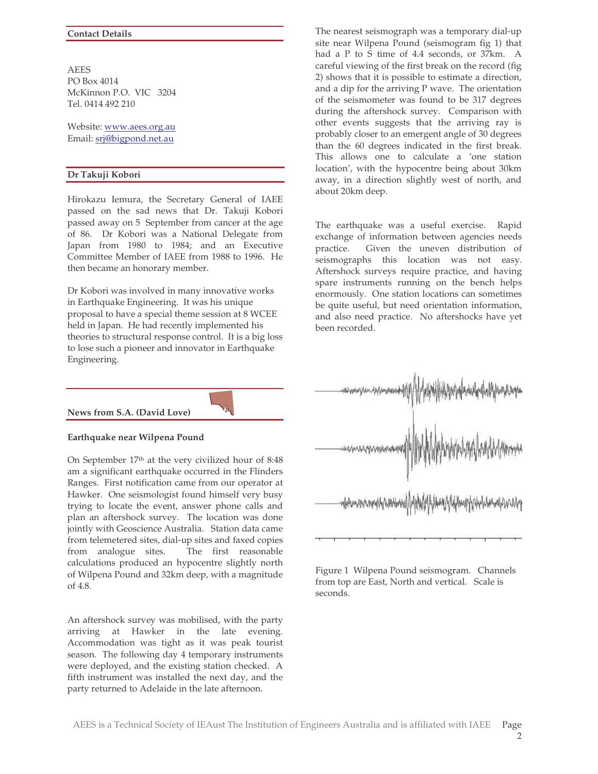AEES PO Box 4014 McKinnon P.O. VIC 3204 Tel. 0414 492 210

Website: www.aees.org.au Email: srj@bigpond.net.au

#### **Dr Takuji Kobori**

Hirokazu Iemura, the Secretary General of IAEE passed on the sad news that Dr. Takuji Kobori passed away on 5 September from cancer at the age of 86. Dr Kobori was a National Delegate from Japan from 1980 to 1984; and an Executive Committee Member of IAEE from 1988 to 1996. He then became an honorary member.

Dr Kobori was involved in many innovative works in Earthquake Engineering. It was his unique proposal to have a special theme session at 8 WCEE held in Japan. He had recently implemented his theories to structural response control. It is a big loss to lose such a pioneer and innovator in Earthquake Engineering.

#### **News from S.A. (David Love)**

#### **Earthquake near Wilpena Pound**

On September 17th at the very civilized hour of 8:48 am a significant earthquake occurred in the Flinders Ranges. First notification came from our operator at Hawker. One seismologist found himself very busy trying to locate the event, answer phone calls and plan an aftershock survey. The location was done jointly with Geoscience Australia. Station data came from telemetered sites, dial-up sites and faxed copies from analogue sites. The first reasonable calculations produced an hypocentre slightly north of Wilpena Pound and 32km deep, with a magnitude of 4.8.

An aftershock survey was mobilised, with the party arriving at Hawker in the late evening. Accommodation was tight as it was peak tourist season. The following day 4 temporary instruments were deployed, and the existing station checked. A fifth instrument was installed the next day, and the party returned to Adelaide in the late afternoon.

The nearest seismograph was a temporary dial-up site near Wilpena Pound (seismogram fig 1) that had a P to S time of 4.4 seconds, or 37km. A careful viewing of the first break on the record (fig 2) shows that it is possible to estimate a direction, and a dip for the arriving P wave. The orientation of the seismometer was found to be 317 degrees during the aftershock survey. Comparison with other events suggests that the arriving ray is probably closer to an emergent angle of 30 degrees than the 60 degrees indicated in the first break. This allows one to calculate a 'one station location', with the hypocentre being about 30km away, in a direction slightly west of north, and about 20km deep.

The earthquake was a useful exercise. Rapid exchange of information between agencies needs practice. Given the uneven distribution of seismographs this location was not easy. Aftershock surveys require practice, and having spare instruments running on the bench helps enormously. One station locations can sometimes be quite useful, but need orientation information, and also need practice. No aftershocks have yet been recorded.



Figure 1 Wilpena Pound seismogram. Channels from top are East, North and vertical. Scale is seconds.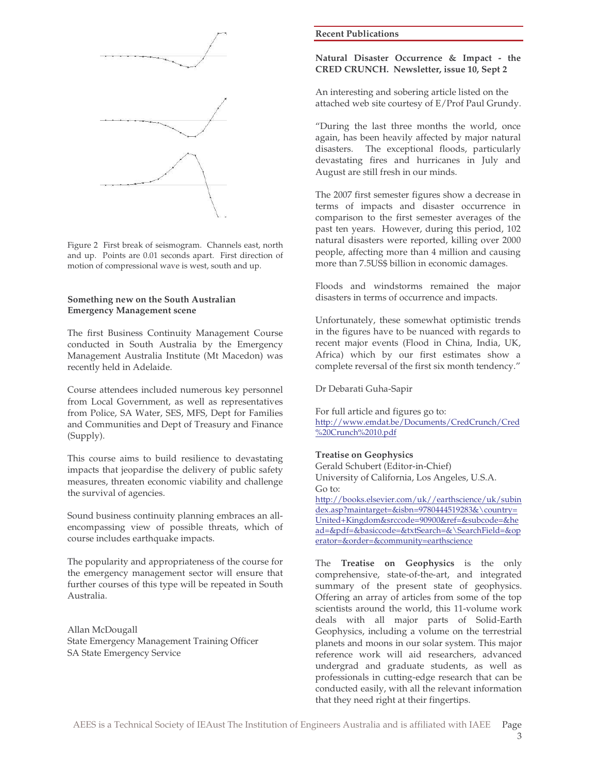

Figure 2 First break of seismogram. Channels east, north and up. Points are 0.01 seconds apart. First direction of motion of compressional wave is west, south and up.

#### **Something new on the South Australian Emergency Management scene**

The first Business Continuity Management Course conducted in South Australia by the Emergency Management Australia Institute (Mt Macedon) was recently held in Adelaide.

Course attendees included numerous key personnel from Local Government, as well as representatives from Police, SA Water, SES, MFS, Dept for Families and Communities and Dept of Treasury and Finance (Supply).

This course aims to build resilience to devastating impacts that jeopardise the delivery of public safety measures, threaten economic viability and challenge the survival of agencies.

Sound business continuity planning embraces an allencompassing view of possible threats, which of course includes earthquake impacts.

The popularity and appropriateness of the course for the emergency management sector will ensure that further courses of this type will be repeated in South Australia.

Allan McDougall State Emergency Management Training Officer SA State Emergency Service

#### **Recent Publications**

**Natural Disaster Occurrence & Impact - the CRED CRUNCH. Newsletter, issue 10, Sept 2**

An interesting and sobering article listed on the attached web site courtesy of E/Prof Paul Grundy.

"During the last three months the world, once again, has been heavily affected by major natural disasters. The exceptional floods, particularly devastating fires and hurricanes in July and August are still fresh in our minds.

The 2007 first semester figures show a decrease in terms of impacts and disaster occurrence in comparison to the first semester averages of the past ten years. However, during this period, 102 natural disasters were reported, killing over 2000 people, affecting more than 4 million and causing more than 7.5US\$ billion in economic damages.

Floods and windstorms remained the major disasters in terms of occurrence and impacts.

Unfortunately, these somewhat optimistic trends in the figures have to be nuanced with regards to recent major events (Flood in China, India, UK, Africa) which by our first estimates show a complete reversal of the first six month tendency."

Dr Debarati Guha-Sapir

For full article and figures go to: http://www.emdat.be/Documents/CredCrunch/Cred %20Crunch%2010.pdf

#### **Treatise on Geophysics**

Gerald Schubert (Editor-in-Chief) University of California, Los Angeles, U.S.A. Go to: http://books.elsevier.com/uk//earthscience/uk/subin dex.asp?maintarget=&isbn=9780444519283&\country= United+Kingdom&srccode=90900&ref=&subcode=&he ad=&pdf=&basiccode=&txtSearch=&\SearchField=&op erator=&order=&community=earthscience

The **Treatise on Geophysics** is the only comprehensive, state-of-the-art, and integrated summary of the present state of geophysics. Offering an array of articles from some of the top scientists around the world, this 11-volume work deals with all major parts of Solid-Earth Geophysics, including a volume on the terrestrial planets and moons in our solar system. This major reference work will aid researchers, advanced undergrad and graduate students, as well as professionals in cutting-edge research that can be conducted easily, with all the relevant information that they need right at their fingertips.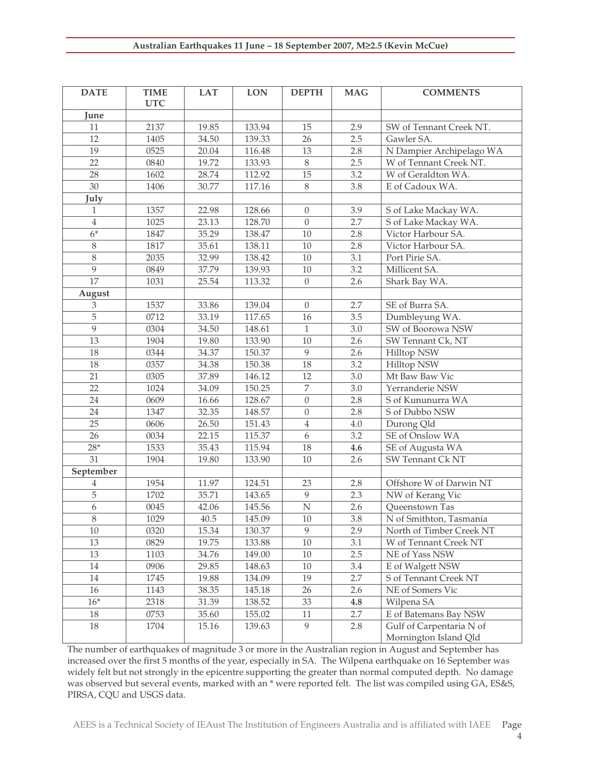### **Australian Earthquakes 11 June – 18 September 2007, M**≥**2.5 (Kevin McCue)**

| <b>DATE</b>              | <b>TIME</b><br><b>UTC</b> | <b>LAT</b> | <b>LON</b> | <b>DEPTH</b>     | <b>MAG</b> | <b>COMMENTS</b>          |  |
|--------------------------|---------------------------|------------|------------|------------------|------------|--------------------------|--|
| June                     |                           |            |            |                  |            |                          |  |
| $11\,$                   | 2137                      | 19.85      | 133.94     | 15               | 2.9        | SW of Tennant Creek NT.  |  |
| 12                       | 1405                      | 34.50      | 139.33     | 26               | 2.5        | Gawler SA.               |  |
| 19                       | 0525                      | 20.04      | 116.48     | 13               | 2.8        | N Dampier Archipelago WA |  |
| 22                       | 0840                      | 19.72      | 133.93     | $\,8\,$          | $2.5\,$    | W of Tennant Creek NT.   |  |
| 28                       | 1602                      | 28.74      | 112.92     | $15\,$           | 3.2        | W of Geraldton WA.       |  |
| 30                       | 1406                      | 30.77      | 117.16     | $8\,$            | 3.8        | E of Cadoux WA.          |  |
| July                     |                           |            |            |                  |            |                          |  |
| $\mathbf{1}$             | 1357                      | 22.98      | 128.66     | $\boldsymbol{0}$ | 3.9        | S of Lake Mackay WA.     |  |
| $\,4\,$                  | 1025                      | 23.13      | 128.70     | $\theta$         | 2.7        | S of Lake Mackay WA.     |  |
| $6*$                     | 1847                      | 35.29      | 138.47     | $10\,$           | 2.8        | Victor Harbour SA.       |  |
| $\,8\,$                  | 1817                      | 35.61      | 138.11     | $10\,$           | 2.8        | Victor Harbour SA.       |  |
| 8                        | 2035                      | 32.99      | 138.42     | $10\,$           | 3.1        | Port Pirie SA.           |  |
| $\overline{9}$           | 0849                      | 37.79      | 139.93     | $10\,$           | 3.2        | Millicent SA.            |  |
| 17                       | 1031                      | 25.54      | 113.32     | $\boldsymbol{0}$ | 2.6        | Shark Bay WA.            |  |
| August                   |                           |            |            |                  |            |                          |  |
| $\mathfrak{Z}$           | 1537                      | 33.86      | 139.04     | $\mathbf{0}$     | 2.7        | SE of Burra SA.          |  |
| 5                        | 0712                      | 33.19      | 117.65     | 16               | 3.5        | Dumbleyung WA.           |  |
| $\overline{9}$           | 0304                      | 34.50      | 148.61     | $\mathbf{1}$     | 3.0        | SW of Boorowa NSW        |  |
| 13                       | 1904                      | 19.80      | 133.90     | 10               | 2.6        | SW Tennant Ck, NT        |  |
| 18                       | 0344                      | 34.37      | 150.37     | $\boldsymbol{9}$ | 2.6        | <b>Hilltop NSW</b>       |  |
| 18                       | 0357                      | 34.38      | 150.38     | $\overline{18}$  | 3.2        | Hilltop NSW              |  |
| 21                       | 0305                      | 37.89      | 146.12     | 12               | 3.0        | Mt Baw Baw Vic           |  |
| 22                       | 1024                      | 34.09      | 150.25     | $\overline{7}$   | 3.0        | Yerranderie NSW          |  |
| 24                       | 0609                      | 16.66      | 128.67     | $\boldsymbol{0}$ | 2.8        | S of Kununurra WA        |  |
| 24                       | 1347                      | 32.35      | 148.57     | $\boldsymbol{0}$ | 2.8        | S of Dubbo NSW           |  |
| $\overline{25}$          | 0606                      | 26.50      | 151.43     | $\sqrt{4}$       | $4.0\,$    | Durong Qld               |  |
| 26                       | 0034                      | 22.15      | 115.37     | 6                | 3.2        | SE of Onslow WA          |  |
| $28*$                    | 1533                      | 35.43      | 115.94     | $18\,$           | 4.6        | SE of Augusta WA         |  |
| 31                       | 1904                      | 19.80      | 133.90     | 10               | 2.6        | SW Tennant Ck NT         |  |
| September                |                           |            |            |                  |            |                          |  |
| $\overline{\mathcal{A}}$ | 1954                      | 11.97      | 124.51     | 23               | 2.8        | Offshore W of Darwin NT  |  |
| $\overline{5}$           | 1702                      | 35.71      | 143.65     | $\overline{9}$   | 2.3        | NW of Kerang Vic         |  |
| $\overline{6}$           | 0045                      | 42.06      | 145.56     | $\overline{N}$   | 2.6        | Queenstown Tas           |  |
| 8                        | 1029                      | 40.5       | 145.09     | 10               | 3.8        | N of Smithton, Tasmania  |  |
| $10\,$                   | 0320                      | 15.34      | 130.37     | 9                | 2.9        | North of Timber Creek NT |  |
| 13                       | 0829                      | 19.75      | 133.88     | $10\,$           | 3.1        | W of Tennant Creek NT    |  |
| 13                       | 1103                      | 34.76      | 149.00     | $10\,$           | $2.5\,$    | NE of Yass NSW           |  |
| $14\,$                   | 0906                      | 29.85      | 148.63     | $10\,$           | 3.4        | E of Walgett NSW         |  |
| 14                       | 1745                      | 19.88      | 134.09     | 19               | 2.7        | S of Tennant Creek NT    |  |
| $16\,$                   | 1143                      | 38.35      | 145.18     | 26               | 2.6        | NE of Somers Vic         |  |
| $16*$                    | 2318                      | 31.39      | 138.52     | 33               | 4.8        | Wilpena SA               |  |
| $18\,$                   | 0753                      | 35.60      | 155.02     | 11               | 2.7        | E of Batemans Bay NSW    |  |
| 18                       | 1704                      | 15.16      | 139.63     | 9                | 2.8        | Gulf of Carpentaria N of |  |
|                          |                           |            |            |                  |            | Mornington Island Qld    |  |

The number of earthquakes of magnitude 3 or more in the Australian region in August and September has increased over the first 5 months of the year, especially in SA. The Wilpena earthquake on 16 September was widely felt but not strongly in the epicentre supporting the greater than normal computed depth. No damage was observed but several events, marked with an \* were reported felt. The list was compiled using GA, ES&S, PIRSA, CQU and USGS data.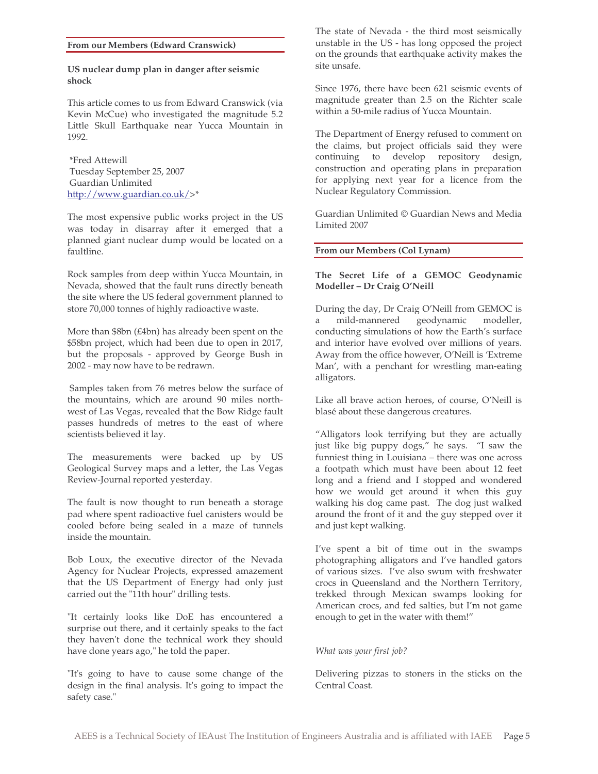#### **From our Members (Edward Cranswick)**

#### **US nuclear dump plan in danger after seismic shock**

This article comes to us from Edward Cranswick (via Kevin McCue) who investigated the magnitude 5.2 Little Skull Earthquake near Yucca Mountain in 1992.

\*Fred Attewill Tuesday September 25, 2007 Guardian Unlimited http://www.guardian.co.uk/>\*

The most expensive public works project in the US was today in disarray after it emerged that a planned giant nuclear dump would be located on a faultline.

Rock samples from deep within Yucca Mountain, in Nevada, showed that the fault runs directly beneath the site where the US federal government planned to store 70,000 tonnes of highly radioactive waste.

More than \$8bn (£4bn) has already been spent on the \$58bn project, which had been due to open in 2017, but the proposals - approved by George Bush in 2002 - may now have to be redrawn.

Samples taken from 76 metres below the surface of the mountains, which are around 90 miles northwest of Las Vegas, revealed that the Bow Ridge fault passes hundreds of metres to the east of where scientists believed it lay.

The measurements were backed up by US Geological Survey maps and a letter, the Las Vegas Review-Journal reported yesterday.

The fault is now thought to run beneath a storage pad where spent radioactive fuel canisters would be cooled before being sealed in a maze of tunnels inside the mountain.

Bob Loux, the executive director of the Nevada Agency for Nuclear Projects, expressed amazement that the US Department of Energy had only just carried out the "11th hour" drilling tests.

"It certainly looks like DoE has encountered a surprise out there, and it certainly speaks to the fact they haven't done the technical work they should have done years ago," he told the paper.

"It's going to have to cause some change of the design in the final analysis. It's going to impact the safety case."

The state of Nevada - the third most seismically unstable in the US - has long opposed the project on the grounds that earthquake activity makes the site unsafe.

Since 1976, there have been 621 seismic events of magnitude greater than 2.5 on the Richter scale within a 50-mile radius of Yucca Mountain.

The Department of Energy refused to comment on the claims, but project officials said they were continuing to develop repository design, construction and operating plans in preparation for applying next year for a licence from the Nuclear Regulatory Commission.

Guardian Unlimited © Guardian News and Media Limited 2007

#### **From our Members (Col Lynam)**

#### **The Secret Life of a GEMOC Geodynamic Modeller – Dr Craig O'Neill**

During the day, Dr Craig O'Neill from GEMOC is a mild-mannered geodynamic modeller, conducting simulations of how the Earth's surface and interior have evolved over millions of years. Away from the office however, O'Neill is 'Extreme Man', with a penchant for wrestling man-eating alligators.

Like all brave action heroes, of course, O'Neill is blasé about these dangerous creatures.

"Alligators look terrifying but they are actually just like big puppy dogs," he says. "I saw the funniest thing in Louisiana – there was one across a footpath which must have been about 12 feet long and a friend and I stopped and wondered how we would get around it when this guy walking his dog came past. The dog just walked around the front of it and the guy stepped over it and just kept walking.

I've spent a bit of time out in the swamps photographing alligators and I've handled gators of various sizes. I've also swum with freshwater crocs in Queensland and the Northern Territory, trekked through Mexican swamps looking for American crocs, and fed salties, but I'm not game enough to get in the water with them!"

#### *What was your first job?*

Delivering pizzas to stoners in the sticks on the Central Coast.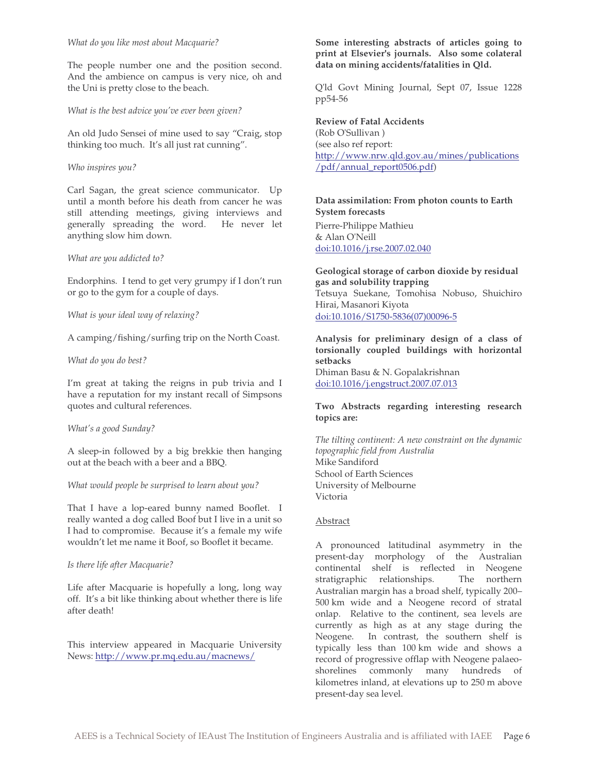#### *What do you like most about Macquarie?*

The people number one and the position second. And the ambience on campus is very nice, oh and the Uni is pretty close to the beach.

## *What is the best advice you've ever been given?*

An old Judo Sensei of mine used to say "Craig, stop thinking too much. It's all just rat cunning".

## *Who inspires you?*

Carl Sagan, the great science communicator. Up until a month before his death from cancer he was still attending meetings, giving interviews and generally spreading the word. He never let anything slow him down.

## *What are you addicted to?*

Endorphins. I tend to get very grumpy if I don't run or go to the gym for a couple of days.

## *What is your ideal way of relaxing?*

A camping/fishing/surfing trip on the North Coast.

## *What do you do best?*

I'm great at taking the reigns in pub trivia and I have a reputation for my instant recall of Simpsons quotes and cultural references.

## *What's a good Sunday?*

A sleep-in followed by a big brekkie then hanging out at the beach with a beer and a BBQ.

## *What would people be surprised to learn about you?*

That I have a lop-eared bunny named Booflet. I really wanted a dog called Boof but I live in a unit so I had to compromise. Because it's a female my wife wouldn't let me name it Boof, so Booflet it became.

## *Is there life after Macquarie?*

Life after Macquarie is hopefully a long, long way off. It's a bit like thinking about whether there is life after death!

This interview appeared in Macquarie University News: http://www.pr.mq.edu.au/macnews/

## **Some interesting abstracts of articles going to print at Elsevier's journals. Also some colateral data on mining accidents/fatalities in Qld.**

Q'ld Govt Mining Journal, Sept 07, Issue 1228 pp54-56

**Review of Fatal Accidents** (Rob O'Sullivan ) (see also ref report: http://www.nrw.qld.gov.au/mines/publications /pdf/annual\_report0506.pdf)

## **Data assimilation: From photon counts to Earth System forecasts** Pierre-Philippe Mathieu

& Alan O'Neill doi:10.1016/j.rse.2007.02.040

**Geological storage of carbon dioxide by residual gas and solubility trapping** Tetsuya Suekane, Tomohisa Nobuso, Shuichiro Hirai, Masanori Kiyota doi:10.1016/S1750-5836(07)00096-5

## **Analysis for preliminary design of a class of torsionally coupled buildings with horizontal setbacks**

Dhiman Basu & N. Gopalakrishnan doi:10.1016/j.engstruct.2007.07.013

## **Two Abstracts regarding interesting research topics are:**

*The tilting continent: A new constraint on the dynamic topographic field from Australia* Mike Sandiford School of Earth Sciences University of Melbourne Victoria

## Abstract

A pronounced latitudinal asymmetry in the present-day morphology of the Australian continental shelf is reflected in Neogene stratigraphic relationships. The northern Australian margin has a broad shelf, typically 200– 500 km wide and a Neogene record of stratal onlap. Relative to the continent, sea levels are currently as high as at any stage during the Neogene. In contrast, the southern shelf is typically less than 100 km wide and shows a record of progressive offlap with Neogene palaeoshorelines commonly many hundreds of kilometres inland, at elevations up to 250 m above present-day sea level.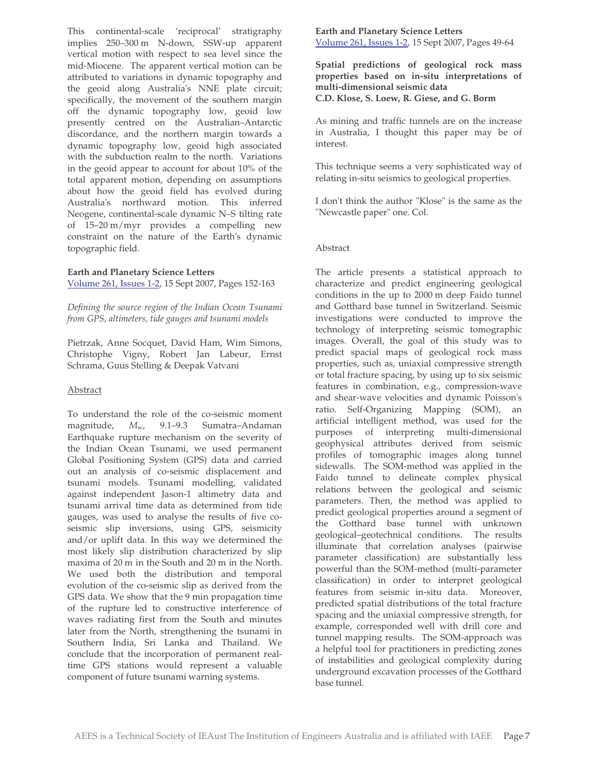This continental-scale 'reciprocal' stratigraphy implies 250–300 m N-down, SSW-up apparent vertical motion with respect to sea level since the mid-Miocene. The apparent vertical motion can be attributed to variations in dynamic topography and the geoid along Australia's NNE plate circuit; specifically, the movement of the southern margin off the dynamic topography low, geoid low presently centred on the Australian–Antarctic discordance, and the northern margin towards a dynamic topography low, geoid high associated with the subduction realm to the north. Variations in the geoid appear to account for about 10% of the total apparent motion, depending on assumptions about how the geoid field has evolved during Australia's northward motion. This inferred Neogene, continental-scale dynamic N–S tilting rate of 15–20 m/myr provides a compelling new constraint on the nature of the Earth's dynamic topographic field.

#### **Earth and Planetary Science Letters**

Volume 261, Issues 1-2, 15 Sept 2007, Pages 152-163

*Defining the source region of the Indian Ocean Tsunami from GPS, altimeters, tide gauges and tsunami models*

Pietrzak, Anne Socquet, David Ham, Wim Simons, Christophe Vigny, Robert Jan Labeur, Ernst Schrama, Guus Stelling & Deepak Vatvani

#### Abstract

To understand the role of the co-seismic moment magnitude, *M*w, 9.1–9.3 Sumatra–Andaman Earthquake rupture mechanism on the severity of the Indian Ocean Tsunami, we used permanent Global Positioning System (GPS) data and carried out an analysis of co-seismic displacement and tsunami models. Tsunami modelling, validated against independent Jason-1 altimetry data and tsunami arrival time data as determined from tide gauges, was used to analyse the results of five coseismic slip inversions, using GPS, seismicity and/or uplift data. In this way we determined the most likely slip distribution characterized by slip maxima of 20 m in the South and 20 m in the North. We used both the distribution and temporal evolution of the co-seismic slip as derived from the GPS data. We show that the 9 min propagation time of the rupture led to constructive interference of waves radiating first from the South and minutes later from the North, strengthening the tsunami in Southern India, Sri Lanka and Thailand. We conclude that the incorporation of permanent realtime GPS stations would represent a valuable component of future tsunami warning systems.

**Earth and Planetary Science Letters** Volume 261, Issues 1-2, 15 Sept 2007, Pages 49-64

**Spatial predictions of geological rock mass properties based on in-situ interpretations of multi-dimensional seismic data C.D. Klose, S. Loew, R. Giese, and G. Borm**

As mining and traffic tunnels are on the increase in Australia, I thought this paper may be of interest.

This technique seems a very sophisticated way of relating in-situ seismics to geological properties.

I don't think the author "Klose" is the same as the "Newcastle paper" one. Col.

#### Abstract

The article presents a statistical approach to characterize and predict engineering geological conditions in the up to 2000 m deep Faido tunnel and Gotthard base tunnel in Switzerland. Seismic investigations were conducted to improve the technology of interpreting seismic tomographic images. Overall, the goal of this study was to predict spacial maps of geological rock mass properties, such as, uniaxial compressive strength or total fracture spacing, by using up to six seismic features in combination, e.g., compression-wave and shear-wave velocities and dynamic Poisson's ratio. Self-Organizing Mapping (SOM), an artificial intelligent method, was used for the purposes of interpreting multi-dimensional geophysical attributes derived from seismic profiles of tomographic images along tunnel sidewalls. The SOM-method was applied in the Faido tunnel to delineate complex physical relations between the geological and seismic parameters. Then, the method was applied to predict geological properties around a segment of the Gotthard base tunnel with unknown geological–geotechnical conditions. The results illuminate that correlation analyses (pairwise parameter classification) are substantially less powerful than the SOM-method (multi-parameter classification) in order to interpret geological features from seismic in-situ data. Moreover, predicted spatial distributions of the total fracture spacing and the uniaxial compressive strength, for example, corresponded well with drill core and tunnel mapping results. The SOM-approach was a helpful tool for practitioners in predicting zones of instabilities and geological complexity during underground excavation processes of the Gotthard base tunnel.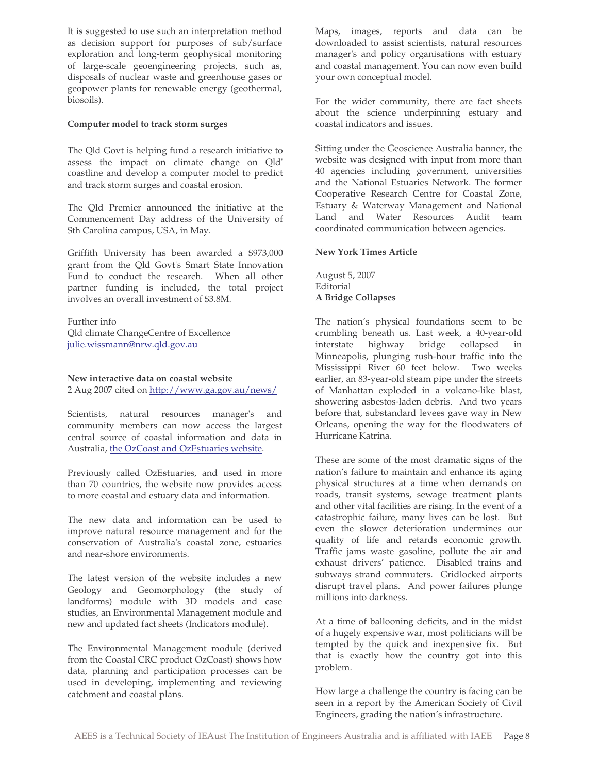It is suggested to use such an interpretation method as decision support for purposes of sub/surface exploration and long-term geophysical monitoring of large-scale geoengineering projects, such as, disposals of nuclear waste and greenhouse gases or geopower plants for renewable energy (geothermal, biosoils).

#### **Computer model to track storm surges**

The Qld Govt is helping fund a research initiative to assess the impact on climate change on Qld' coastline and develop a computer model to predict and track storm surges and coastal erosion.

The Qld Premier announced the initiative at the Commencement Day address of the University of Sth Carolina campus, USA, in May.

Griffith University has been awarded a \$973,000 grant from the Qld Govt's Smart State Innovation Fund to conduct the research. When all other partner funding is included, the total project involves an overall investment of \$3.8M.

Further info Qld climate ChangeCentre of Excellence julie.wissmann@nrw.qld.gov.au

#### **New interactive data on coastal website**

2 Aug 2007 cited on http://www.ga.gov.au/news/

Scientists, natural resources manager's and community members can now access the largest central source of coastal information and data in Australia, the OzCoast and OzEstuaries website.

Previously called OzEstuaries, and used in more than 70 countries, the website now provides access to more coastal and estuary data and information.

The new data and information can be used to improve natural resource management and for the conservation of Australia's coastal zone, estuaries and near-shore environments.

The latest version of the website includes a new Geology and Geomorphology (the study of landforms) module with 3D models and case studies, an Environmental Management module and new and updated fact sheets (Indicators module).

The Environmental Management module (derived from the Coastal CRC product OzCoast) shows how data, planning and participation processes can be used in developing, implementing and reviewing catchment and coastal plans.

Maps, images, reports and data can be downloaded to assist scientists, natural resources manager's and policy organisations with estuary and coastal management. You can now even build your own conceptual model.

For the wider community, there are fact sheets about the science underpinning estuary and coastal indicators and issues.

Sitting under the Geoscience Australia banner, the website was designed with input from more than 40 agencies including government, universities and the National Estuaries Network. The former Cooperative Research Centre for Coastal Zone, Estuary & Waterway Management and National Land and Water Resources Audit team coordinated communication between agencies.

#### **New York Times Article**

August 5, 2007 Editorial **A Bridge Collapses**

The nation's physical foundations seem to be crumbling beneath us. Last week, a 40-year-old interstate highway bridge collapsed in Minneapolis, plunging rush-hour traffic into the Mississippi River 60 feet below. Two weeks earlier, an 83-year-old steam pipe under the streets of Manhattan exploded in a volcano-like blast, showering asbestos-laden debris. And two years before that, substandard levees gave way in New Orleans, opening the way for the floodwaters of Hurricane Katrina.

These are some of the most dramatic signs of the nation's failure to maintain and enhance its aging physical structures at a time when demands on roads, transit systems, sewage treatment plants and other vital facilities are rising. In the event of a catastrophic failure, many lives can be lost. But even the slower deterioration undermines our quality of life and retards economic growth. Traffic jams waste gasoline, pollute the air and exhaust drivers' patience. Disabled trains and subways strand commuters. Gridlocked airports disrupt travel plans. And power failures plunge millions into darkness.

At a time of ballooning deficits, and in the midst of a hugely expensive war, most politicians will be tempted by the quick and inexpensive fix. But that is exactly how the country got into this problem.

How large a challenge the country is facing can be seen in a report by the American Society of Civil Engineers, grading the nation's infrastructure.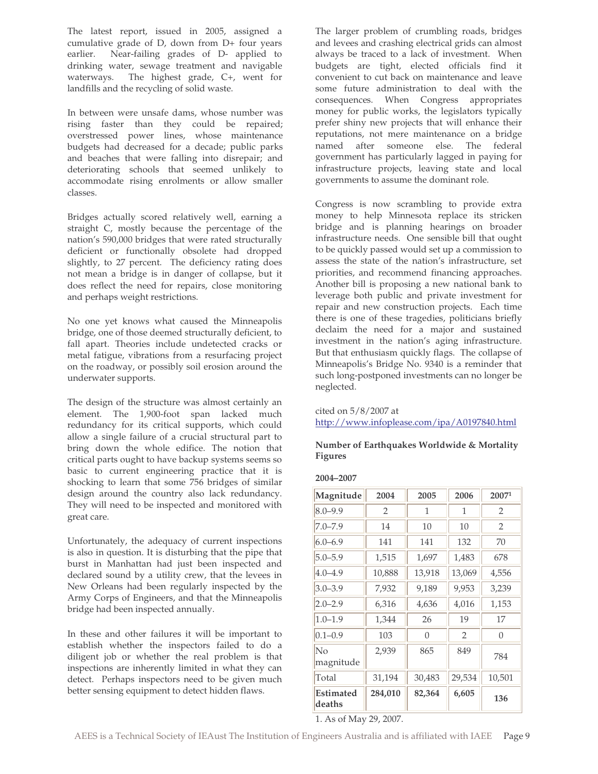The latest report, issued in 2005, assigned a cumulative grade of D, down from D+ four years earlier. Near-failing grades of D- applied to drinking water, sewage treatment and navigable waterways. The highest grade, C+, went for landfills and the recycling of solid waste.

In between were unsafe dams, whose number was rising faster than they could be repaired; overstressed power lines, whose maintenance budgets had decreased for a decade; public parks and beaches that were falling into disrepair; and deteriorating schools that seemed unlikely to accommodate rising enrolments or allow smaller classes.

Bridges actually scored relatively well, earning a straight C, mostly because the percentage of the nation's 590,000 bridges that were rated structurally deficient or functionally obsolete had dropped slightly, to 27 percent. The deficiency rating does not mean a bridge is in danger of collapse, but it does reflect the need for repairs, close monitoring and perhaps weight restrictions.

No one yet knows what caused the Minneapolis bridge, one of those deemed structurally deficient, to fall apart. Theories include undetected cracks or metal fatigue, vibrations from a resurfacing project on the roadway, or possibly soil erosion around the underwater supports.

The design of the structure was almost certainly an element. The 1,900-foot span lacked much redundancy for its critical supports, which could allow a single failure of a crucial structural part to bring down the whole edifice. The notion that critical parts ought to have backup systems seems so basic to current engineering practice that it is shocking to learn that some 756 bridges of similar design around the country also lack redundancy. They will need to be inspected and monitored with great care.

Unfortunately, the adequacy of current inspections is also in question. It is disturbing that the pipe that burst in Manhattan had just been inspected and declared sound by a utility crew, that the levees in New Orleans had been regularly inspected by the Army Corps of Engineers, and that the Minneapolis bridge had been inspected annually.

In these and other failures it will be important to establish whether the inspectors failed to do a diligent job or whether the real problem is that inspections are inherently limited in what they can detect. Perhaps inspectors need to be given much better sensing equipment to detect hidden flaws.

The larger problem of crumbling roads, bridges and levees and crashing electrical grids can almost always be traced to a lack of investment. When budgets are tight, elected officials find it convenient to cut back on maintenance and leave some future administration to deal with the consequences. When Congress appropriates money for public works, the legislators typically prefer shiny new projects that will enhance their reputations, not mere maintenance on a bridge named after someone else. The federal government has particularly lagged in paying for infrastructure projects, leaving state and local governments to assume the dominant role.

Congress is now scrambling to provide extra money to help Minnesota replace its stricken bridge and is planning hearings on broader infrastructure needs. One sensible bill that ought to be quickly passed would set up a commission to assess the state of the nation's infrastructure, set priorities, and recommend financing approaches. Another bill is proposing a new national bank to leverage both public and private investment for repair and new construction projects. Each time there is one of these tragedies, politicians briefly declaim the need for a major and sustained investment in the nation's aging infrastructure. But that enthusiasm quickly flags. The collapse of Minneapolis's Bridge No. 9340 is a reminder that such long-postponed investments can no longer be neglected.

#### cited on 5/8/2007 at

http://www.infoplease.com/ipa/A0197840.html

#### **Number of Earthquakes Worldwide & Mortality Figures**

#### **2004–2007**

| Magnitude             | 2004    | 2005     | 2006           | 20071    |
|-----------------------|---------|----------|----------------|----------|
| $8.0 - 9.9$           | 2       | 1        | 1              | 2        |
| $7.0 - 7.9$           | 14      | 10       | 10             | 2        |
| $6.0 - 6.9$           | 141     | 141      | 132            | 70       |
| $5.0 - 5.9$           | 1,515   | 1,697    | 1,483          | 678      |
| $4.0 - 4.9$           | 10,888  | 13,918   | 13,069         | 4,556    |
| $3.0 - 3.9$           | 7,932   | 9,189    | 9,953          | 3,239    |
| $2.0 - 2.9$           | 6,316   | 4,636    | 4,016          | 1,153    |
| $1.0 - 1.9$           | 1,344   | 26       | 19             | 17       |
| $0.1 - 0.9$           | 103     | $\Omega$ | $\overline{2}$ | $\Omega$ |
| $\rm No$<br>magnitude | 2,939   | 865      | 849            | 784      |
| Total                 | 31,194  | 30,483   | 29,534         | 10,501   |
| Estimated<br>deaths   | 284,010 | 82,364   | 6,605          | 136      |

1. As of May 29, 2007.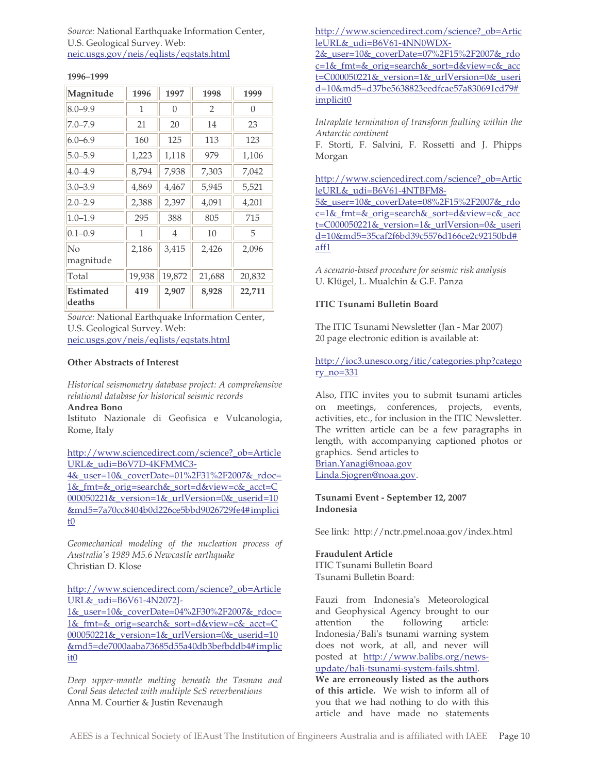*Source:* National Earthquake Information Center, U.S. Geological Survey. Web: neic.usgs.gov/neis/eqlists/eqstats.html

#### **1996–1999**

| Magnitude                  | 1996   | 1997     | 1998   | 1999   |
|----------------------------|--------|----------|--------|--------|
| $8.0 - 9.9$                | 1      | $\theta$ | 2      | 0      |
| $7.0 - 7.9$                | 21     | 20       | 14     | 23     |
| $6.0 - 6.9$                | 160    | 125      | 113    | 123    |
| $5.0 - 5.9$                | 1,223  | 1,118    | 979    | 1,106  |
| $4.0 - 4.9$                | 8,794  | 7,938    | 7,303  | 7,042  |
| $3.0 - 3.9$                | 4,869  | 4,467    | 5,945  | 5,521  |
| $2.0 - 2.9$                | 2,388  | 2,397    | 4,091  | 4,201  |
| $1.0 - 1.9$                | 295    | 388      | 805    | 715    |
| $0.1 - 0.9$                | 1      | 4        | 10     | 5      |
| No<br>magnitude            | 2,186  | 3,415    | 2,426  | 2,096  |
| Total                      | 19,938 | 19,872   | 21,688 | 20,832 |
| <b>Estimated</b><br>deaths | 419    | 2,907    | 8,928  | 22,711 |

*Source:* National Earthquake Information Center, U.S. Geological Survey. Web: neic.usgs.gov/neis/eqlists/eqstats.html

#### **Other Abstracts of Interest**

*Historical seismometry database project: A comprehensive relational database for historical seismic records*

#### **Andrea Bono**

Istituto Nazionale di Geofisica e Vulcanologia, Rome, Italy

http://www.sciencedirect.com/science?\_ob=Article URL&\_udi=B6V7D-4KFMMC3- 4&\_user=10&\_coverDate=01%2F31%2F2007&\_rdoc= 1&\_fmt=&\_orig=search&\_sort=d&view=c&\_acct=C 000050221&\_version=1&\_urlVersion=0&\_userid=10 &md5=7a70cc8404b0d226ce5bbd9026729fe4#implici t0

*Geomechanical modeling of the nucleation process of Australia's 1989 M5.6 Newcastle earthquake* Christian D. Klose

http://www.sciencedirect.com/science?\_ob=Article URL&\_udi=B6V61-4N2072J-

1&\_user=10&\_coverDate=04%2F30%2F2007&\_rdoc= 1&\_fmt=&\_orig=search&\_sort=d&view=c&\_acct=C 000050221&\_version=1&\_urlVersion=0&\_userid=10 &md5=de7000aaba73685d55a40db3befbddb4#implic it0

*Deep upper-mantle melting beneath the Tasman and Coral Seas detected with multiple ScS reverberations* Anna M. Courtier & Justin Revenaugh

http://www.sciencedirect.com/science?\_ob=Artic leURL&\_udi=B6V61-4NN0WDX-

2&\_user=10&\_coverDate=07%2F15%2F2007&\_rdo c=1&\_fmt=&\_orig=search&\_sort=d&view=c&\_acc t=C000050221&\_version=1&\_urlVersion=0&\_useri d=10&md5=d37be5638823eedfcae57a830691cd79# implicit0

*Intraplate termination of transform faulting within the Antarctic continent*

F. Storti, F. Salvini, F. Rossetti and J. Phipps Morgan

http://www.sciencedirect.com/science?\_ob=Artic leURL&\_udi=B6V61-4NTBFM8-

5&\_user=10&\_coverDate=08%2F15%2F2007&\_rdo c=1&\_fmt=&\_orig=search&\_sort=d&view=c&\_acc t=C000050221&\_version=1&\_urlVersion=0&\_useri d=10&md5=35caf2f6bd39c5576d166ce2c92150bd# aff1

*A scenario-based procedure for seismic risk analysis* U. Klügel, L. Mualchin & G.F. Panza

#### **ITIC Tsunami Bulletin Board**

The ITIC Tsunami Newsletter (Jan - Mar 2007) 20 page electronic edition is available at:

http://ioc3.unesco.org/itic/categories.php?catego ry\_no=331

Also, ITIC invites you to submit tsunami articles on meetings, conferences, projects, events, activities, etc., for inclusion in the ITIC Newsletter. The written article can be a few paragraphs in length, with accompanying captioned photos or graphics. Send articles to Brian.Yanagi@noaa.gov Linda.Sjogren@noaa.gov.

#### **Tsunami Event - September 12, 2007 Indonesia**

See link: http://nctr.pmel.noaa.gov/index.html

## **Fraudulent Article**

ITIC Tsunami Bulletin Board Tsunami Bulletin Board:

Fauzi from Indonesia's Meteorological and Geophysical Agency brought to our attention the following article: Indonesia/Bali's tsunami warning system does not work, at all, and never will posted at http://www.balibs.org/newsupdate/bali-tsunami-system-fails.shtml. **We are erroneously listed as the authors of this article.** We wish to inform all of you that we had nothing to do with this article and have made no statements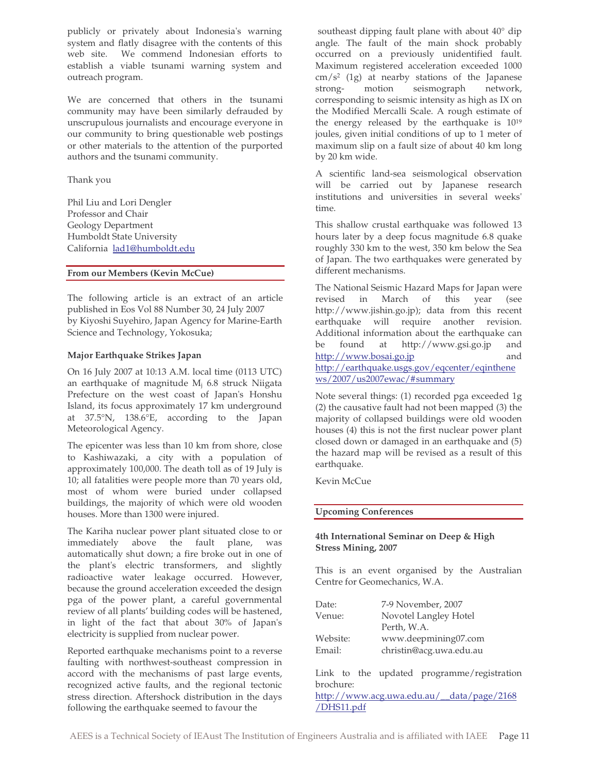publicly or privately about Indonesia's warning system and flatly disagree with the contents of this web site. We commend Indonesian efforts to establish a viable tsunami warning system and outreach program.

We are concerned that others in the tsunami community may have been similarly defrauded by unscrupulous journalists and encourage everyone in our community to bring questionable web postings or other materials to the attention of the purported authors and the tsunami community.

#### Thank you

Phil Liu and Lori Dengler Professor and Chair Geology Department Humboldt State University California lad1@humboldt.edu

#### **From our Members (Kevin McCue)**

The following article is an extract of an article published in Eos Vol 88 Number 30, 24 July 2007 by Kiyoshi Suyehiro, Japan Agency for Marine-Earth Science and Technology, Yokosuka;

#### **Major Earthquake Strikes Japan**

On 16 July 2007 at 10:13 A.M. local time (0113 UTC) an earthquake of magnitude  $M_i$  6.8 struck Niigata Prefecture on the west coast of Japan's Honshu Island, its focus approximately 17 km underground at 37.5°N, 138.6°E, according to the Japan Meteorological Agency.

The epicenter was less than 10 km from shore, close to Kashiwazaki, a city with a population of approximately 100,000. The death toll as of 19 July is 10; all fatalities were people more than 70 years old, most of whom were buried under collapsed buildings, the majority of which were old wooden houses. More than 1300 were injured.

The Kariha nuclear power plant situated close to or immediately above the fault plane, was automatically shut down; a fire broke out in one of the plant's electric transformers, and slightly radioactive water leakage occurred. However, because the ground acceleration exceeded the design pga of the power plant, a careful governmental review of all plants' building codes will be hastened, in light of the fact that about 30% of Japan's electricity is supplied from nuclear power.

Reported earthquake mechanisms point to a reverse faulting with northwest-southeast compression in accord with the mechanisms of past large events, recognized active faults, and the regional tectonic stress direction. Aftershock distribution in the days following the earthquake seemed to favour the

southeast dipping fault plane with about 40° dip angle. The fault of the main shock probably occurred on a previously unidentified fault. Maximum registered acceleration exceeded 1000 cm/s 2 (1g) at nearby stations of the Japanese strong- motion seismograph network, corresponding to seismic intensity as high as IX on the Modified Mercalli Scale. A rough estimate of the energy released by the earthquake is 10<sup>19</sup> joules, given initial conditions of up to 1 meter of maximum slip on a fault size of about 40 km long by 20 km wide.

A scientific land-sea seismological observation will be carried out by Japanese research institutions and universities in several weeks' time.

This shallow crustal earthquake was followed 13 hours later by a deep focus magnitude 6.8 quake roughly 330 km to the west, 350 km below the Sea of Japan. The two earthquakes were generated by different mechanisms.

The National Seismic Hazard Maps for Japan were revised in March of this year (see http://www.jishin.go.jp); data from this recent earthquake will require another revision. Additional information about the earthquake can be found at http://www.gsi.go.jp and http://www.bosai.go.jp and http://earthquake.usgs.gov/eqcenter/eqinthene ws/2007/us2007ewac/#summary

Note several things: (1) recorded pga exceeded 1g (2) the causative fault had not been mapped (3) the majority of collapsed buildings were old wooden houses (4) this is not the first nuclear power plant closed down or damaged in an earthquake and (5) the hazard map will be revised as a result of this earthquake.

Kevin McCue

#### **Upcoming Conferences**

#### **4th International Seminar on Deep & High Stress Mining, 2007**

This is an event organised by the Australian Centre for Geomechanics, W.A.

| Date:    | 7-9 November, 2007      |
|----------|-------------------------|
| Venue:   | Novotel Langley Hotel   |
|          | Perth, W.A.             |
| Website: | www.deepmining07.com    |
| Email:   | christin@acg.uwa.edu.au |

Link to the updated programme/registration brochure:

http://www.acg.uwa.edu.au/\_\_data/page/2168 /DHS11.pdf